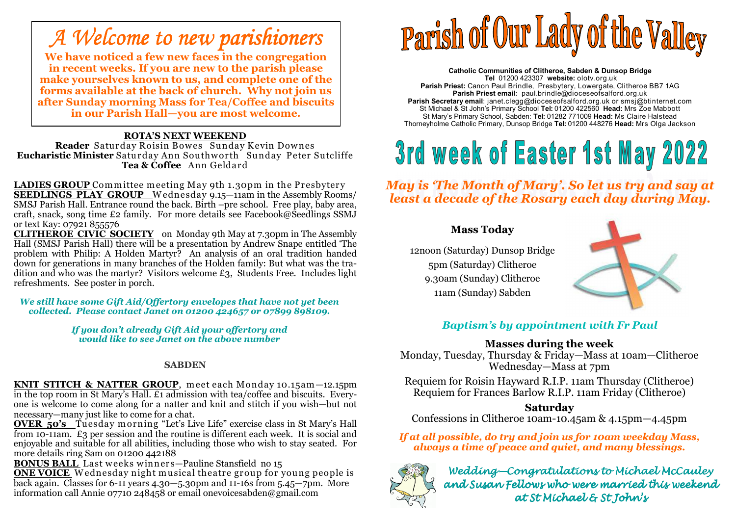### *A Welcome to new parishioners*

 **We have noticed a few new faces in the congregation in recent weeks. If you are new to the parish please make yourselves known to us, and complete one of the forms available at the back of church. Why not join us after Sunday morning Mass for Tea/Coffee and biscuits in our Parish Hall—you are most welcome.** 

#### **ROTA'S NEXT WEEKEND**

Reader Saturday Roisin Bowes Sunday Kevin Downes **Reader** Saturday Roisin Bowes Sunday Kevin Downes<br>**stic Minister** Saturday Ann Southworth Sunday Peter S **Eucharistic Minister** Saturday Ann Southw orth Sunday Peter Sutcliffe **Tea & Coffee** Ann Geldard

**LADIES GROUP** Committee meeting May 9th 1.30pm in the Presbytery<br>**SEEDLINGS PLAY GROUP** Wednesday 9.15–11am in the Assembly Rooms/ **SEEDLINGS PLAY GROUP** <sup>W</sup> ednesday 9.15—11am in the Assembly Rooms/ SMSJ Parish Hall. Entrance round the back. Birth –pre school. Free play, baby area, craft, snack, song time £2 family. For more details see Facebook@Seedlings SSMJ or text Kay: 07921 855576

**CLITHEROE CIVIC SOCIETY** on Monday 9th May at 7.30pm in The Assembly Hall (SMSJ Parish Hall) there will be a presentation by Andrew Snape entitled 'The problem with Philip: A Holden Martyr? An analysis of an oral tradition handed down for generations in many branches of the Holden family: But what was the tradition and who was the martyr? Visitors welcome £3, Students Free. Includes light refreshments. See poster in porch.

*We still have some Gift Aid/Offertory envelopes that have not yet been collected. Please contact Janet on 01200 424657 or 07899 898109.* 

> *If you don't already Gift Aid your offertory and would like to see Janet on the above number*

#### **SABDEN**

**KNIT STITCH & NATTER GROUP**, meet each Monday 10.15am—12.15pm<br>in the top room in St Mary's Hall. £1 admission with tea/coffee and biscuits. Everyone is welcome to come along for a natter and knit and stitch if you wish—but not necessary—many just like to come for a chat.

**OVER 50's** Tuesday morning "Let's Live Life" exercise class in St Marv's Hall **OVER 50's** Tuesday m orning "Let's Live Life" exercise class in St Mary's Hall from 10-11am. £3 per session and the routine is different each week. It is social and enjoyable and suitable for all abilities, including those who wish to stay seated. For more details ring Sam on 01200 442188

**BONUS BALL** Last weeks winners-Pauline Stansfield no 15 **BONUS BALL** Last w eeks w inners—Pauline Stansfield no 15

**ONE VOICE** <sup>W</sup> ednesday night musical theatre group for young people is back again. Classes for 6-11 years 4.30—5.30pm and 11-16s from 5.45—7pm. More information call Annie 07710 248458 or email onevoicesabden@gmail.com

# Parish of Our Lady of the Valley

**Catholic Communities of Clitheroe, Sabden & Dunsop Bridge Tel** 01200 423307 **website:** olotv.org.uk **Parish Priest:** Canon Paul Brindle, Presbytery, Lowergate, Clitheroe BB7 1AG**Parish Priest email**: paul.brindle@dioceseofsalford.org.uk **Parish Secretary email**: janet.clegg@dioceseofsalford.org.uk or smsj@btinternet.com St Michael & St John's Primary School **Tel:** 01200 422560 **Head:** Mrs Zoe Mabbott St Mary's Primary School, Sabden: **Tel:** 01282 771009 **Head:** Ms Claire HalsteadThorneyholme Catholic Primary, Dunsop Bridge **Tel:** 01200 448276 **Head:** Mrs Olga Jackson

## 3rd week of Easter 1st May 2022

*May is 'The Month of Mary'. So let us try and say at least a decade of the Rosary each day during May.* 

#### **Mass Today**

12noon (Saturday) Dunsop Bridge5pm (Saturday) Clitheroe9.30am (Sunday) Clitheroe11am (Sunday) Sabden



#### *Baptism's by appointment with Fr Paul*

#### **Masses during the week**

 Monday, Tuesday, Thursday & Friday—Mass at 10am—Clitheroe Wednesday—Mass at 7pm

 Requiem for Roisin Hayward R.I.P. 11am Thursday (Clitheroe) Requiem for Frances Barlow R.I.P. 11am Friday (Clitheroe)

#### **Saturday**

Confessions in Clitheroe 10am-10.45am & 4.15pm—4.45pm

 *If at all possible, do try and join us for 10am weekday Mass, always a time of peace and quiet, and many blessings.* 



Wedding—Congratulations to Michael McCauley<br>wed Surgn Follow who were we weied this weaken and Susan Fellows who were married this weekend at St Michael & St John's